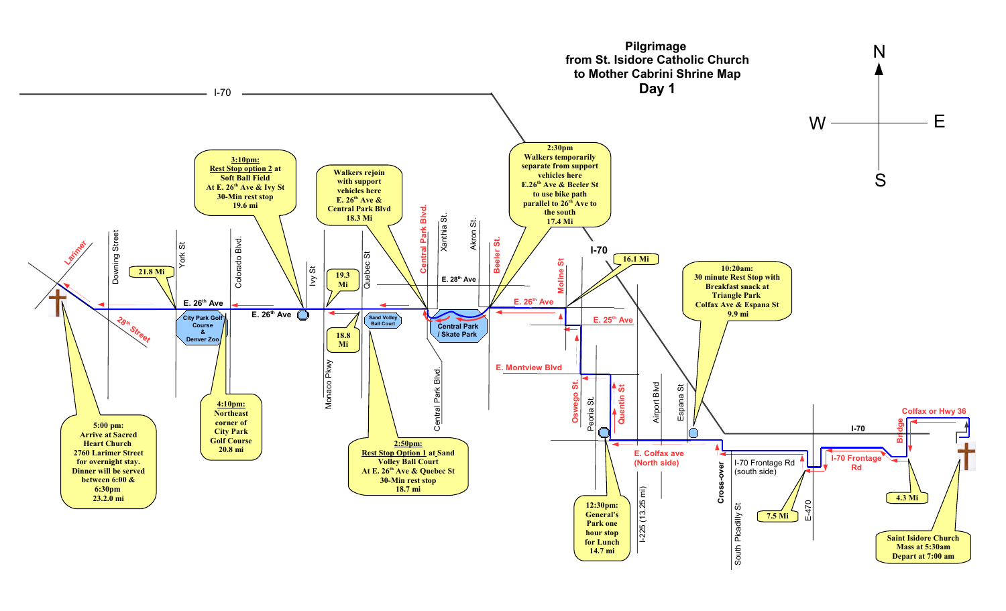